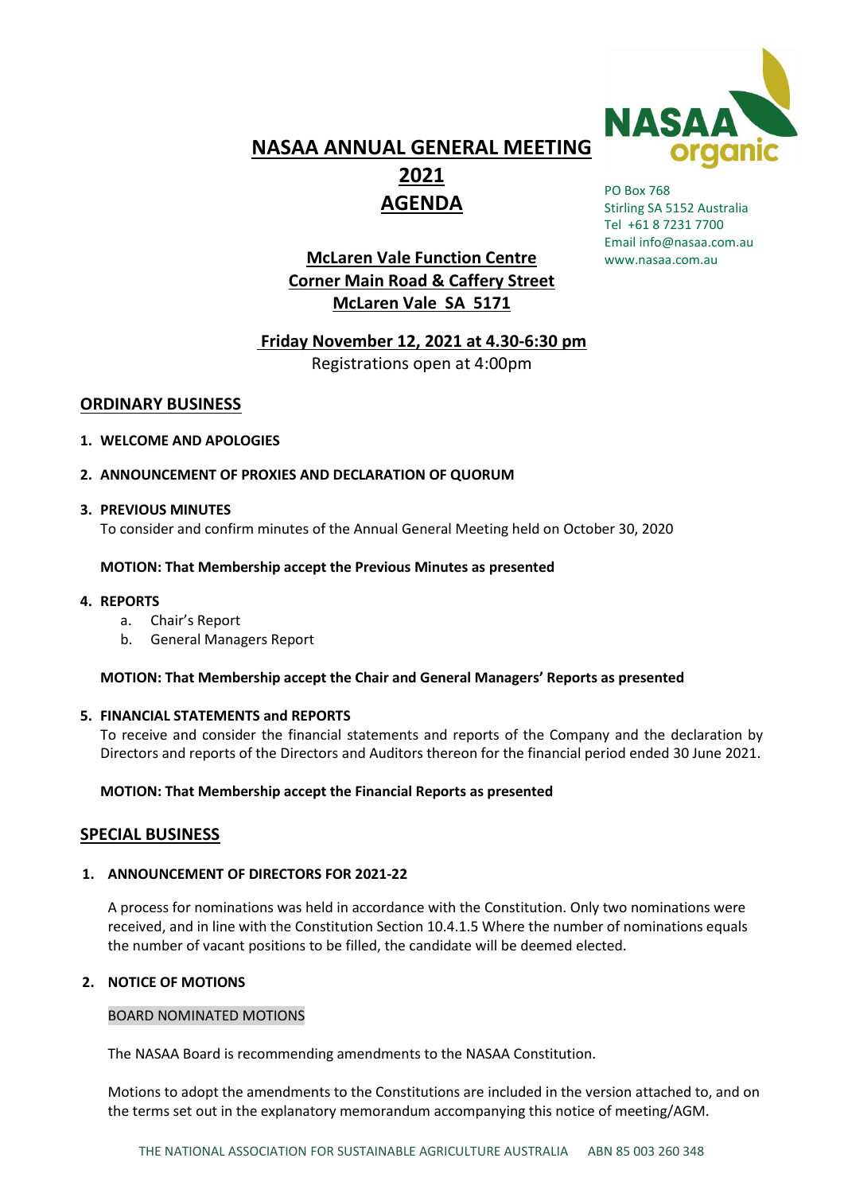

# **NASAA ANNUAL GENERAL MEETING 2021 AGENDA**

## **McLaren Vale Function Centre Corner Main Road & Caffery Street McLaren Vale SA 5171**

#### PO Box 768 Stirling SA 5152 Australia Tel +61 8 7231 7700 Email [info@nasaa.com.au](mailto:info@nasaa.com.au) [www.nasaa.com.au](http://www.nasaa.com.au/)

## **Friday November 12, 2021 at 4.30-6:30 pm**

Registrations open at 4:00pm

## **ORDINARY BUSINESS**

## **1. WELCOME AND APOLOGIES**

## **2. ANNOUNCEMENT OF PROXIES AND DECLARATION OF QUORUM**

## **3. PREVIOUS MINUTES**

To consider and confirm minutes of the Annual General Meeting held on October 30, 2020

## **MOTION: That Membership accept the Previous Minutes as presented**

## **4. REPORTS**

- a. Chair's Report
- b. General Managers Report

## **MOTION: That Membership accept the Chair and General Managers' Reports as presented**

## **5. FINANCIAL STATEMENTS and REPORTS**

To receive and consider the financial statements and reports of the Company and the declaration by Directors and reports of the Directors and Auditors thereon for the financial period ended 30 June 2021.

## **MOTION: That Membership accept the Financial Reports as presented**

## **SPECIAL BUSINESS**

## **1. ANNOUNCEMENT OF DIRECTORS FOR 2021-22**

A process for nominations was held in accordance with the Constitution. Only two nominations were received, and in line with the Constitution Section 10.4.1.5 Where the number of nominations equals the number of vacant positions to be filled, the candidate will be deemed elected.

## **2. NOTICE OF MOTIONS**

## BOARD NOMINATED MOTIONS

The NASAA Board is recommending amendments to the NASAA Constitution.

Motions to adopt the amendments to the Constitutions are included in the version attached to, and on the terms set out in the explanatory memorandum accompanying this notice of meeting/AGM.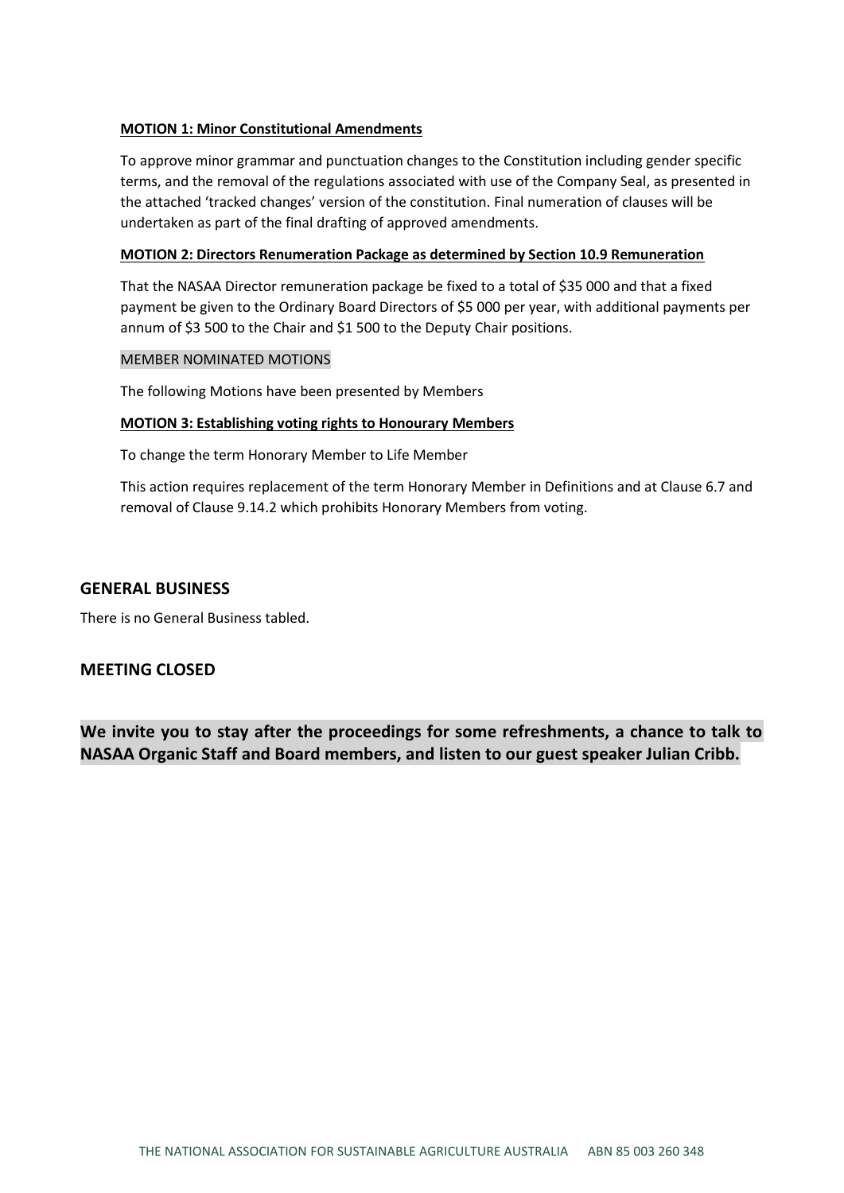#### **MOTION 1: Minor Constitutional Amendments**

To approve minor grammar and punctuation changes to the Constitution including gender specific terms, and the removal of the regulations associated with use of the Company Seal, as presented in the attached 'tracked changes' version of the constitution. Final numeration of clauses will be undertaken as part of the final drafting of approved amendments.

#### **MOTION 2: Directors Renumeration Package as determined by Section 10.9 Remuneration**

That the NASAA Director remuneration package be fixed to a total of \$35 000 and that a fixed payment be given to the Ordinary Board Directors of \$5 000 per year, with additional payments per annum of \$3 500 to the Chair and \$1 500 to the Deputy Chair positions.

#### MEMBER NOMINATED MOTIONS

The following Motions have been presented by Members

#### **MOTION 3: Establishing voting rights to Honourary Members**

To change the term Honorary Member to Life Member

This action requires replacement of the term Honorary Member in Definitions and at Clause 6.7 and removal of Clause 9.14.2 which prohibits Honorary Members from voting.

#### **GENERAL BUSINESS**

There is no General Business tabled.

## **MEETING CLOSED**

**We invite you to stay after the proceedings for some refreshments, a chance to talk to NASAA Organic Staff and Board members, and listen to our guest speaker Julian Cribb.**